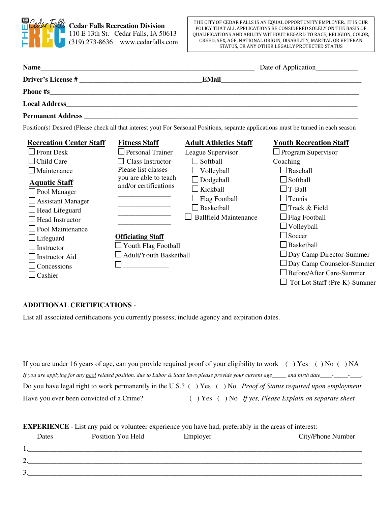

|                                |                               |                              | Date of Application____________                                                                                                      |  |  |
|--------------------------------|-------------------------------|------------------------------|--------------------------------------------------------------------------------------------------------------------------------------|--|--|
|                                |                               | <b>EMail</b>                 | <u> 1980 - John Stein, Amerikaansk politiker († 1908)</u>                                                                            |  |  |
|                                |                               |                              |                                                                                                                                      |  |  |
|                                |                               |                              |                                                                                                                                      |  |  |
|                                |                               |                              |                                                                                                                                      |  |  |
|                                |                               |                              | Position(s) Desired (Please check all that interest you) For Seasonal Positions, separate applications must be turned in each season |  |  |
| <b>Recreation Center Staff</b> | <b>Fitness Staff</b>          | <b>Adult Athletics Staff</b> | <b>Youth Recreation Staff</b>                                                                                                        |  |  |
| <b>Front Desk</b>              | $\Box$ Personal Trainer       | League Supervisor            | $\Box$ Program Supervisor                                                                                                            |  |  |
| $\Box$ Child Care              | $\Box$ Class Instructor-      | $\Box$ Softball              | Coaching                                                                                                                             |  |  |
| Maintenance                    | Please list classes           | $\Box$ Volleyball            | $\Box$ Baseball                                                                                                                      |  |  |
| <b>Aquatic Staff</b>           | you are able to teach         | $\Box$ Dodgeball             | $\Box$ Softball                                                                                                                      |  |  |
| $\Box$ Pool Manager            | and/or certifications         | $\Box$ Kickball              | $\Box$ T-Ball                                                                                                                        |  |  |
| $\Box$ Assistant Manager       |                               | $\Box$ Flag Football         | $\Box$ Tennis                                                                                                                        |  |  |
| $\Box$ Head Lifeguard          |                               | $\Box$ Basketball            | $\Box$ Track & Field                                                                                                                 |  |  |
| $\Box$ Head Instructor         |                               | <b>Ballfield Maintenance</b> | $\Box$ Flag Football                                                                                                                 |  |  |
| Pool Maintenance               |                               |                              | $\Box$ Volleyball                                                                                                                    |  |  |
| $\Box$ Lifeguard               | <b>Officiating Staff</b>      |                              | $\Box$ Soccer                                                                                                                        |  |  |
| Instructor                     | $\perp$ Youth Flag Football   |                              | $\Box$ Basketball                                                                                                                    |  |  |
| <b>Instructor Aid</b>          | $\Box$ Adult/Youth Basketball |                              | $\Box$ Day Camp Director-Summ                                                                                                        |  |  |

- □ Day Camp Director-Summer
- □ Day Camp Counselor-Summer
- □ Before/After Care-Summer
- $\Box$  Tot Lot Staff (Pre-K)-Summer

## **ADDITIONAL CERTIFICATIONS** -

□ Concessions  $\Box$  Cashier

List all associated certifications you currently possess; include agency and expiration dates.

 $\Box$ 

|                                          | If you are under 16 years of age, can you provide required proof of your eligibility to work $($ ) Yes $($ ) No $($ ) NA |
|------------------------------------------|--------------------------------------------------------------------------------------------------------------------------|
|                                          |                                                                                                                          |
|                                          | Do you have legal right to work permanently in the U.S.? () Yes () No <i>Proof of Status required upon employment</i>    |
| Have you ever been convicted of a Crime? | $( )$ Yes $( )$ No If yes, Please Explain on separate sheet                                                              |

| <b>EXPERIENCE</b> - List any paid or volunteer experience you have had, preferably in the areas of interest: |                   |          |                   |  |  |
|--------------------------------------------------------------------------------------------------------------|-------------------|----------|-------------------|--|--|
| Dates                                                                                                        | Position You Held | Employer | City/Phone Number |  |  |
|                                                                                                              |                   |          |                   |  |  |
|                                                                                                              |                   |          |                   |  |  |
|                                                                                                              |                   |          |                   |  |  |